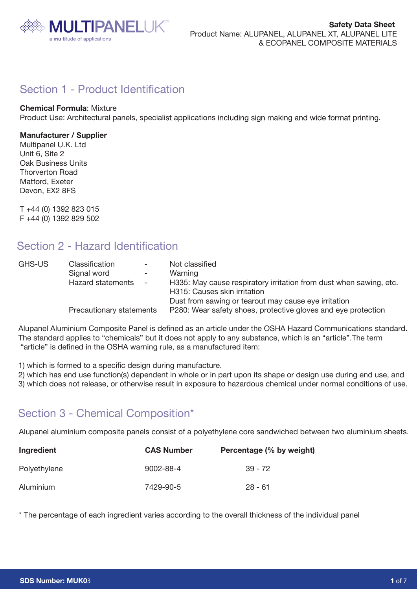

## Section 1 - Product Identification

## **Chemical Formula**: Mixture

Product Use: Architectural panels, specialist applications including sign making and wide format printing.

## **Manufacturer / Supplier**

Multipanel U.K. Ltd Unit 6, Site 2 **Oak Business Units** Thorverton Road Matford, Exeter Devon, EX2 8FS

T +44 (0) 1392 823 015 F +44 (0) 1392 829 502

## Section 2 - Hazard Identification

| GHS-US | Classification<br>$\sim$ 100 $\mu$<br>Signal word<br>$ \,$<br>Hazard statements<br>$ \,$ | Not classified<br>Warning<br>H335: May cause respiratory irritation from dust when sawing, etc.<br>H315: Causes skin irritation |
|--------|------------------------------------------------------------------------------------------|---------------------------------------------------------------------------------------------------------------------------------|
|        | Precautionary statements                                                                 | Dust from sawing or tearout may cause eye irritation<br>P280: Wear safety shoes, protective gloves and eye protection           |

Alupanel Aluminium Composite Panel is defined as an article under the OSHA Hazard Communications standard. The standard applies to "chemicals" but it does not apply to any substance, which is an "article".The term "article" is defined in the OSHA warning rule, as a manufactured item:

1) which is formed to a specific design during manufacture.

2) which has end use function(s) dependent in whole or in part upon its shape or design use during end use, and 3) which does not release, or otherwise result in exposure to hazardous chemical under normal conditions of use.

## Section 3 - Chemical Composition\*

Alupanel aluminium composite panels consist of a polyethylene core sandwiched between two aluminium sheets.

| Ingredient   | <b>CAS Number</b> | Percentage (% by weight) |
|--------------|-------------------|--------------------------|
| Polyethylene | $9002 - 88 - 4$   | $39 - 72$                |
| Aluminium    | 7429-90-5         | $28 - 61$                |

\* The percentage of each ingredient varies according to the overall thickness of the individual panel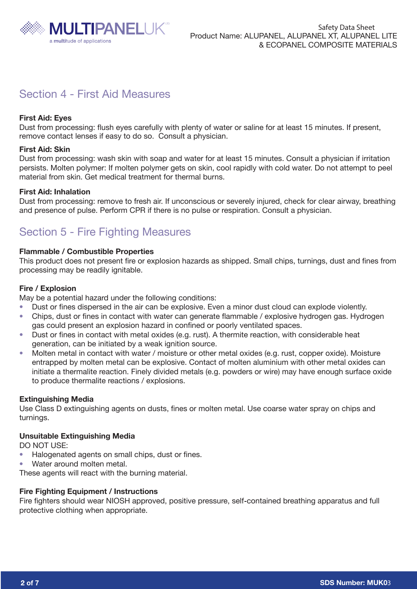

# Section 4 - First Aid Measures

## **First Aid: Eyes**

Dust from processing: flush eyes carefully with plenty of water or saline for at least 15 minutes. If present, remove contact lenses if easy to do so. Consult a physician.

### **First Aid: Skin**

Dust from processing: wash skin with soap and water for at least 15 minutes. Consult a physician if irritation persists. Molten polymer: If molten polymer gets on skin, cool rapidly with cold water. Do not attempt to peel material from skin. Get medical treatment for thermal burns.

### **First Aid: Inhalation**

Dust from processing: remove to fresh air. If unconscious or severely injured, check for clear airway, breathing and presence of pulse. Perform CPR if there is no pulse or respiration. Consult a physician.

# Section 5 - Fire Fighting Measures

## **Flammable / Combustible Properties**

This product does not present fire or explosion hazards as shipped. Small chips, turnings, dust and fines from processing may be readily ignitable.

#### **Fire / Explosion**

May be a potential hazard under the following conditions:

- Dust or fines dispersed in the air can be explosive. Even a minor dust cloud can explode violently. ï
- Chips, dust or fines in contact with water can generate flammable / explosive hydrogen gas. Hydrogen gas could present an explosion hazard in confined or poorly ventilated spaces. ï
- Dust or fines in contact with metal oxides (e.g. rust). A thermite reaction, with considerable heat generation, can be initiated by a weak ignition source. ï
- Molten metal in contact with water / moisture or other metal oxides (e.g. rust, copper oxide). Moisture entrapped by molten metal can be explosive. Contact of molten aluminium with other metal oxides can initiate a thermalite reaction. Finely divided metals (e.g. powders or wire) may have enough surface oxide to produce thermalite reactions / explosions. ï

### **Extinguishing Media**

Use Class D extinguishing agents on dusts, fines or molten metal. Use coarse water spray on chips and turnings.

#### **Unsuitable Extinguishing Media**

DO NOT USE:

- Halogenated agents on small chips, dust or fines. ï
- Water around molten metal. ï

These agents will react with the burning material.

### **Fire Fighting Equipment / Instructions**

Fire fighters should wear NIOSH approved, positive pressure, self-contained breathing apparatus and full protective clothing when appropriate.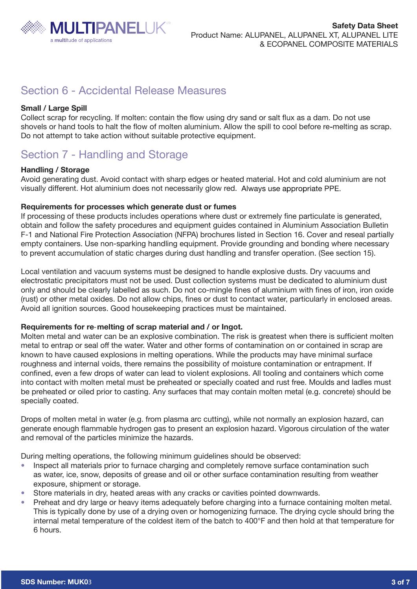

## Section 6 - Accidental Release Measures

## **Small / Large Spill**

Collect scrap for recycling. If molten: contain the flow using dry sand or salt flux as a dam. Do not use shovels or hand tools to halt the flow of molten aluminium. Allow the spill to cool before re melting as scrap. Do not attempt to take action without suitable protective equipment.

## Section 7 - Handling and Storage

## **Handling / Storage**

Avoid generating dust. Avoid contact with sharp edges or heated material. Hot and cold aluminium are not visually different. Hot aluminium does not necessarily glow red.

## **Requirements for processes which generate dust or fumes**

If processing of these products includes operations where dust or extremely fine particulate is generated, obtain and follow the safety procedures and equipment guides contained in Aluminium Association Bulletin F-1 and National Fire Protection Association (NFPA) brochures listed in Section 16. Cover and reseal partially empty containers. Use non-sparking handling equipment. Provide grounding and bonding where necessary to prevent accumulation of static charges during dust handling and transfer operation. (See section 15).

Local ventilation and vacuum systems must be designed to handle explosive dusts. Dry vacuums and electrostatic precipitators must not be used. Dust collection systems must be dedicated to aluminium dust only and should be clearly labelled as such. Do not co-mingle fines of aluminium with fines of iron, iron oxide (rust) or other metal oxides. Do not allow chips, fines or dust to contact water, particularly in enclosed areas. Avoid all ignition sources. Good housekeeping practices must be maintained.

### **Requirements for re-melting of scrap material and / or Ingot.**

Molten metal and water can be an explosive combination. The risk is greatest when there is sufficient molten metal to entrap or seal off the water. Water and other forms of contamination on or contained in scrap are known to have caused explosions in melting operations. While the products may have minimal surface roughness and internal voids, there remains the possibility of moisture contamination or entrapment. If confined, even a few drops of water can lead to violent explosions. All tooling and containers which come into contact with molten metal must be preheated or specially coated and rust free. Moulds and ladles must be preheated or oiled prior to casting. Any surfaces that may contain molten metal (e.g. concrete) should be specially coated.

Drops of molten metal in water (e.g. from plasma arc cutting), while not normally an explosion hazard, can generate enough flammable hydrogen gas to present an explosion hazard. Vigorous circulation of the water and removal of the particles minimize the hazards.

During melting operations, the following minimum guidelines should be observed:

- Inspect all materials prior to furnace charging and completely remove surface contamination such as water, ice, snow, deposits of grease and oil or other surface contamination resulting from weather exposure, shipment or storage. ï
- Store materials in dry, heated areas with any cracks or cavities pointed downwards. ï
- Preheat and dry large or heavy items adequately before charging into a furnace containing molten metal. This is typically done by use of a drying oven or homogenizing furnace. The drying cycle should bring the internal metal temperature of the coldest item of the batch to 400°F and then hold at that temperature for 6 hours. ï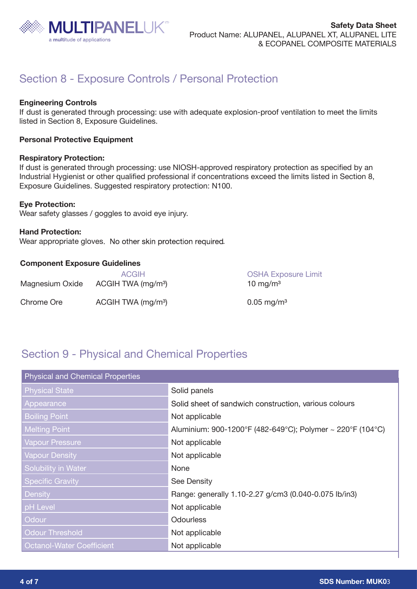

# Section 8 - Exposure Controls / Personal Protection

## **Engineering Controls**

If dust is generated through processing: use with adequate explosion-proof ventilation to meet the limits listed in Section 8, Exposure Guidelines.

## **Personal Protective Equipment**

#### **Respiratory Protection:**

If dust is generated through processing: use NIOSH-approved respiratory protection as specified by an Industrial Hygienist or other qualified professional if concentrations exceed the limits listed in Section 8, Exposure Guidelines. Suggested respiratory protection: N100.

### **Eye Protection:**

Wear safety glasses / goggles to avoid eye injury.

**Hand Protection:**  Wear appropriate gloves. No other skin protection required.

## **Component Exposure Guidelines**

| Magnesium Oxide | <b>ACGIH</b><br>ACGIH TWA (mg/m <sup>3</sup> ) | <b>OSHA Exposure Limit</b><br>10 mg/m $3$ |
|-----------------|------------------------------------------------|-------------------------------------------|
| Chrome Ore      | ACGIH TWA (mg/m <sup>3</sup> )                 | $0.05 \,\mathrm{mg/m^3}$                  |

## Section 9 - Physical and Chemical Properties

| <b>Physical and Chemical Properties</b> |                                                            |  |  |
|-----------------------------------------|------------------------------------------------------------|--|--|
| <b>Physical State</b>                   | Solid panels                                               |  |  |
| Appearance                              | Solid sheet of sandwich construction, various colours      |  |  |
| <b>Boiling Point</b>                    | Not applicable                                             |  |  |
| <b>Melting Point</b>                    | Aluminium: 900-1200°F (482-649°C); Polymer ~ 220°F (104°C) |  |  |
| <b>Vapour Pressure</b>                  | Not applicable                                             |  |  |
| <b>Vapour Density</b>                   | Not applicable                                             |  |  |
| Solubility in Water                     | None                                                       |  |  |
| <b>Specific Gravity</b>                 | See Density                                                |  |  |
| Density                                 | Range: generally 1.10-2.27 g/cm3 (0.040-0.075 lb/in3)      |  |  |
| pH Level                                | Not applicable                                             |  |  |
| Odour                                   | <b>Odourless</b>                                           |  |  |
| <b>Odour Threshold</b>                  | Not applicable                                             |  |  |
| <b>Octanol-Water Coefficient</b>        | Not applicable                                             |  |  |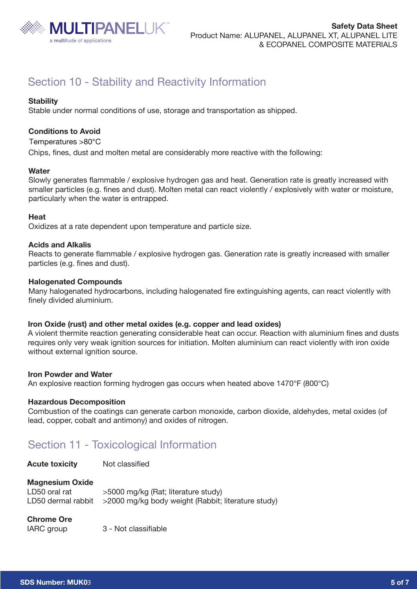

# Section 10 - Stability and Reactivity Information

## **Stability**

Stable under normal conditions of use, storage and transportation as shipped.

## **Conditions to Avoid**

Temperatures >80°C

Chips, fines, dust and molten metal are considerably more reactive with the following:

### **Water**

Slowly generates flammable / explosive hydrogen gas and heat. Generation rate is greatly increased with smaller particles (e.g. fines and dust). Molten metal can react violently / explosively with water or moisture, particularly when the water is entrapped.

### **Heat**

Oxidizes at a rate dependent upon temperature and particle size.

### **Acids and Alkalis**

Reacts to generate flammable / explosive hydrogen gas. Generation rate is greatly increased with smaller particles (e.g. fines and dust).

### **Halogenated Compounds**

Many halogenated hydrocarbons, including halogenated fire extinguishing agents, can react violently with finely divided aluminium.

### **Iron Oxide (rust) and other metal oxides (e.g. copper and lead oxides)**

A violent thermite reaction generating considerable heat can occur. Reaction with aluminium fines and dusts requires only very weak ignition sources for initiation. Molten aluminium can react violently with iron oxide without external ignition source.

### **Iron Powder and Water**

An explosive reaction forming hydrogen gas occurs when heated above 1470°F (800°C)

### **Hazardous Decomposition**

Combustion of the coatings can generate carbon monoxide, carbon dioxide, aldehydes, metal oxides (of lead, copper, cobalt and antimony) and oxides of nitrogen.

## Section 11 - Toxicological Information

| <b>Acute toxicity</b> | Not classified |
|-----------------------|----------------|
|                       |                |

### **Magnesium Oxide**

| LD50 oral rat | >5000 mg/kg (Rat; literature study)                                    |
|---------------|------------------------------------------------------------------------|
|               | LD50 dermal rabbit > 2000 mg/kg body weight (Rabbit; literature study) |

### **Chrome Ore**

| IARC group |  |
|------------|--|
|------------|--|

3 - Not classifiable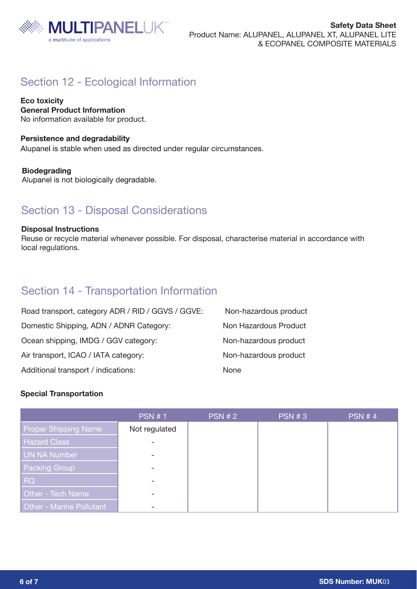

# Section 12 - Ecological Information

**Eco toxicity General Product Information** No information available for product.

## **Persistence and degradability**

Alupanel is stable when used as directed under regular circumstances.

## **Biodegrading**

Alupanel is not biologically degradable.

## Section 13 - Disposal Considerations

### **Disposal Instructions**

Reuse or recycle material whenever possible. For disposal, characterise material in accordance with local regulations.

## Section 14 - Transportation Information

| Road transport, category ADR / RID / GGVS / GGVE: | Non-hazardous product |
|---------------------------------------------------|-----------------------|
| Domestic Shipping, ADN / ADNR Category:           | Non Hazardous Product |
| Ocean shipping, IMDG / GGV category:              | Non-hazardous product |
| Air transport, ICAO / IATA category:              | Non-hazardous product |
| Additional transport / indications:               | <b>None</b>           |

### **Special Transportation**

|                                 | <b>PSN #1</b>            | <b>PSN #2</b> | <b>PSN #3</b> | <b>PSN #4</b> |
|---------------------------------|--------------------------|---------------|---------------|---------------|
| <b>Proper Shipping Name</b>     | Not regulated            |               |               |               |
| <b>Hazard Class</b>             |                          |               |               |               |
| UN NA Number                    |                          |               |               |               |
| <b>Packing Group</b>            | $\overline{\phantom{a}}$ |               |               |               |
| <b>RQ</b>                       |                          |               |               |               |
| <b>Other - Tech Name</b>        |                          |               |               |               |
| <b>Other - Marine Pollutant</b> |                          |               |               |               |